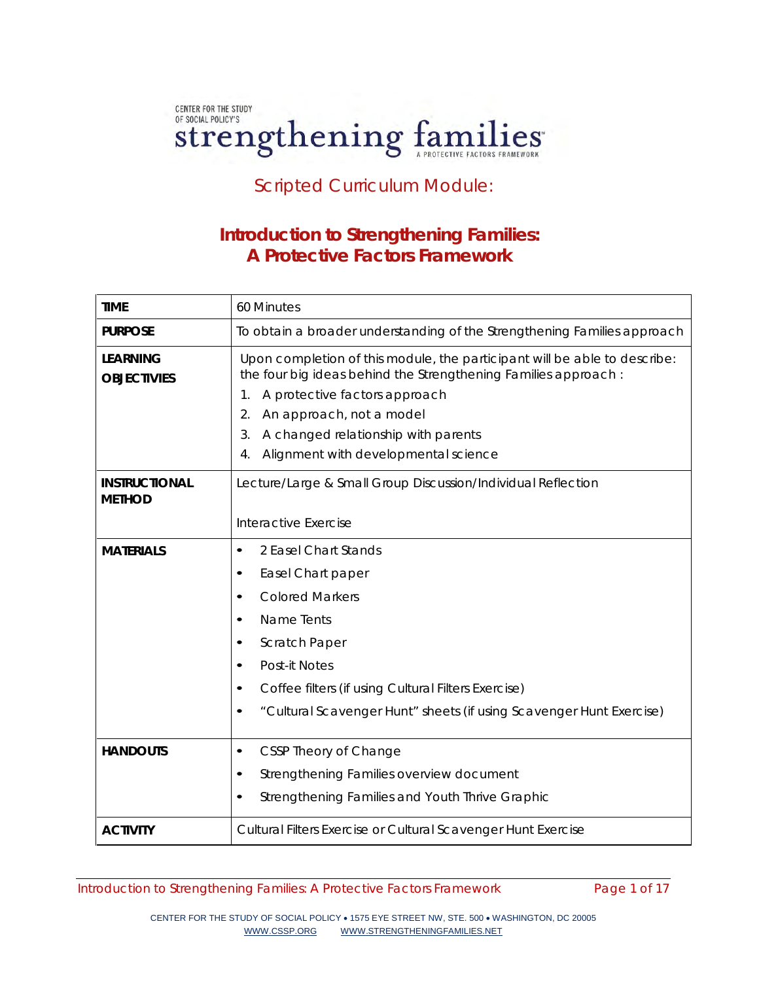# CENTER FOR THE STUDY OF SOCIAL POLICY'S Strengthening families

Scripted Curriculum Module:

# **Introduction to Strengthening Families: A Protective Factors Framework**

| <b>TIME</b>                           | 60 Minutes                                                                                                                                                                                                                                                                                                      |
|---------------------------------------|-----------------------------------------------------------------------------------------------------------------------------------------------------------------------------------------------------------------------------------------------------------------------------------------------------------------|
| <b>PURPOSE</b>                        | To obtain a broader understanding of the Strengthening Families approach                                                                                                                                                                                                                                        |
| <b>LEARNING</b><br><b>OBJECTIVIES</b> | Upon completion of this module, the participant will be able to describe:<br>the four big ideas behind the Strengthening Families approach:<br>A protective factors approach<br>1.<br>An approach, not a model<br>2.<br>A changed relationship with parents<br>3.<br>Alignment with developmental science<br>4. |
| <b>INSTRUCTIONAL</b><br><b>METHOD</b> | Lecture/Large & Small Group Discussion/Individual Reflection<br>Interactive Exercise                                                                                                                                                                                                                            |
| <b>MATERIALS</b>                      | 2 Easel Chart Stands<br>$\bullet$<br>Easel Chart paper<br>٠<br><b>Colored Markers</b><br>$\bullet$<br>Name Tents<br>Scratch Paper<br>Post-it Notes<br>Coffee filters (if using Cultural Filters Exercise)<br>"Cultural Scavenger Hunt" sheets (if using Scavenger Hunt Exercise)                                |
| <b>HANDOUTS</b>                       | CSSP Theory of Change<br>$\bullet$<br>Strengthening Families overview document<br>Strengthening Families and Youth Thrive Graphic                                                                                                                                                                               |
| <b>ACTIVITY</b>                       | Cultural Filters Exercise or Cultural Scavenger Hunt Exercise                                                                                                                                                                                                                                                   |

Introduction to Strengthening Families: A Protective Factors Framework Page 1 of 17

CENTER FOR THE STUDY OF SOCIAL POLICY • 1575 EYE STREET NW, STE. 500 • WASHINGTON, DC 20005 [WWW.CSSP.ORG](http://www.cssp.org/) [WWW.STRENGTHENINGFAMILIES.NET](http://www.strengtheningfamilies.net/)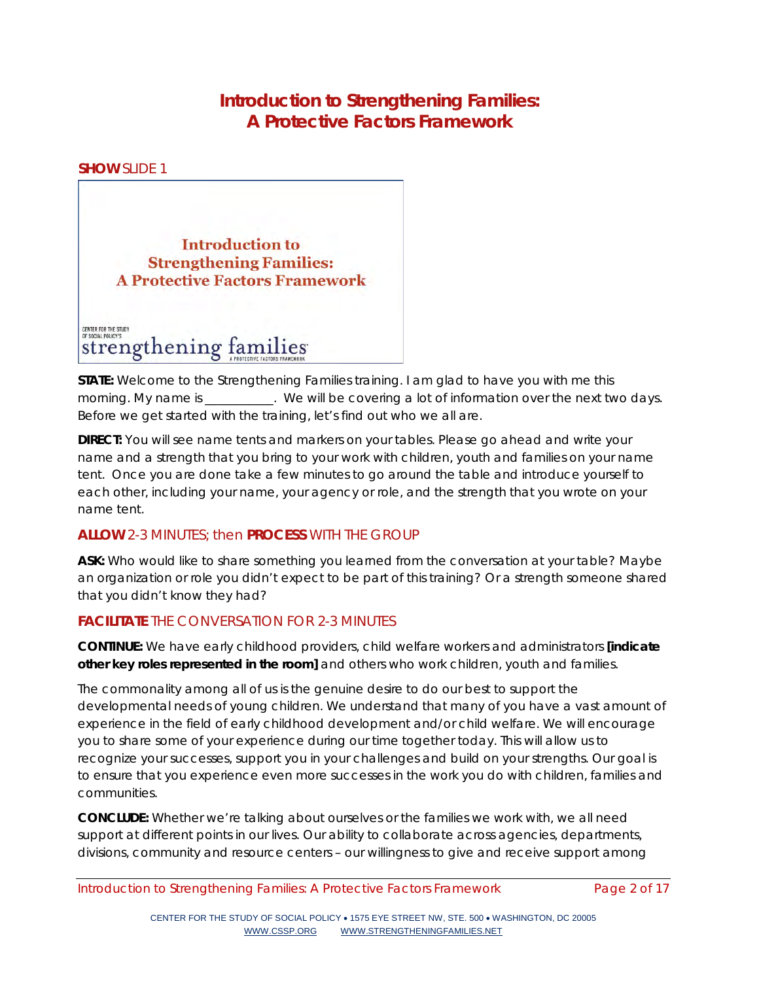# **Introduction to Strengthening Families: A Protective Factors Framework**

**SHOW** SLIDE 1



**STATE:** Welcome to the Strengthening Families training. I am glad to have you with me this morning. My name is  $\qquad \qquad$ . We will be covering a lot of information over the next two days. Before we get started with the training, let's find out who we all are.

**DIRECT:** You will see name tents and markers on your tables. Please go ahead and write your name and a strength that you bring to your work with children, youth and families on your name tent. Once you are done take a few minutes to go around the table and introduce yourself to each other, including your name, your agency or role, and the strength that you wrote on your name tent.

# **ALLOW** 2-3 MINUTES; then **PROCESS** WITH THE GROUP

**ASK:** Who would like to share something you learned from the conversation at your table? Maybe an organization or role you didn't expect to be part of this training? Or a strength someone shared that you didn't know they had?

# **FACILITATE** THE CONVERSATION FOR 2-3 MINUTES

**CONTINUE:** We have early childhood providers, child welfare workers and administrators *[indicate other key roles represented in the room]* and others who work children, youth and families.

The commonality among all of us is the genuine desire to do our best to support the developmental needs of young children. We understand that many of you have a vast amount of experience in the field of early childhood development and/or child welfare. We will encourage you to share some of your experience during our time together today. This will allow us to recognize your successes, support you in your challenges and build on your strengths. Our goal is to ensure that you experience even more successes in the work you do with children, families and communities.

**CONCLUDE:** Whether we're talking about ourselves or the families we work with, we all need support at different points in our lives. Our ability to collaborate across agencies, departments, divisions, community and resource centers – our willingness to give and receive support among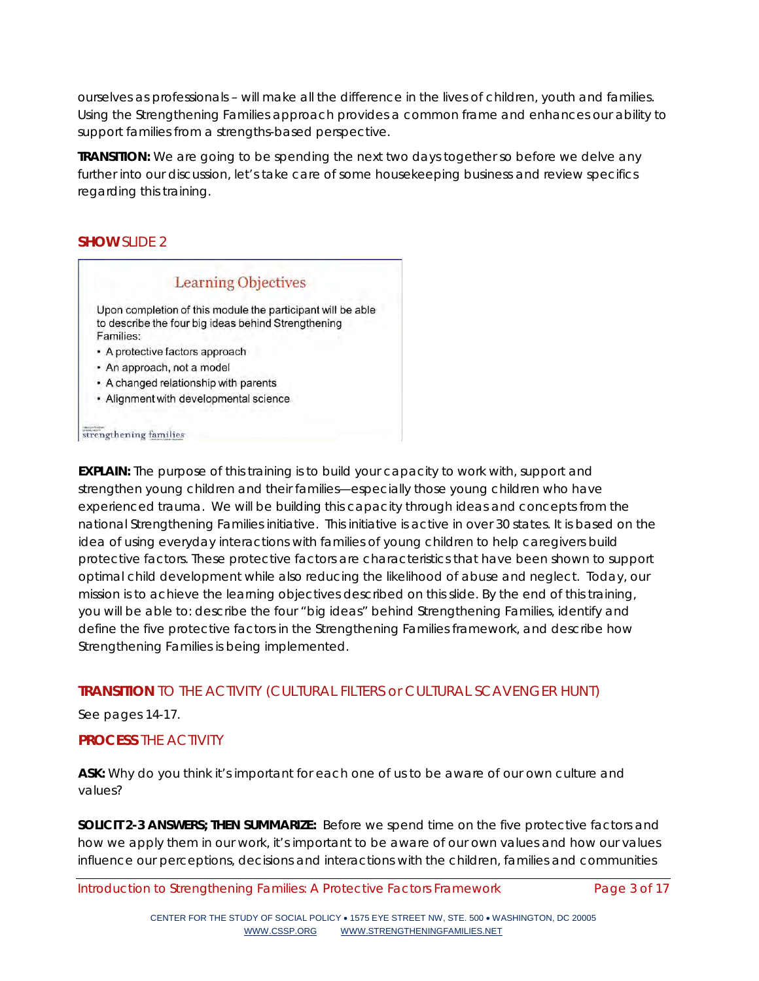ourselves as professionals – will make all the difference in the lives of children, youth and families. Using the Strengthening Families approach provides a common frame and enhances our ability to support families from a strengths-based perspective.

**TRANSITION:** We are going to be spending the next two days together so before we delve any further into our discussion, let's take care of some housekeeping business and review specifics regarding this training.

## **SHOW** SLIDE 2



**EXPLAIN:** The purpose of this training is to build your capacity to work with, support and strengthen young children and their families—especially those young children who have experienced trauma. We will be building this capacity through ideas and concepts from the national Strengthening Families initiative. This initiative is active in over 30 states. It is based on the idea of using everyday interactions with families of young children to help caregivers build protective factors. These protective factors are characteristics that have been shown to support optimal child development while also reducing the likelihood of abuse and neglect. Today, our mission is to achieve the learning objectives described on this slide. By the end of this training, you will be able to: describe the four "big ideas" behind Strengthening Families, identify and define the five protective factors in the Strengthening Families framework, and describe how Strengthening Families is being implemented.

# **TRANSITION** TO THE ACTIVITY *(CULTURAL FILTERS or CULTURAL SCAVENGER HUNT)*

#### See pages 14-17.

## **PROCESS** THE ACTIVITY

**ASK:** Why do you think it's important for each one of us to be aware of our own culture and values?

**SOLICIT 2-3 ANSWERS; THEN SUMMARIZE:** Before we spend time on the five protective factors and how we apply them in our work, it's important to be aware of our own values and how our values influence our perceptions, decisions and interactions with the children, families and communities

Introduction to Strengthening Families: A Protective Factors Framework Page 3 of 17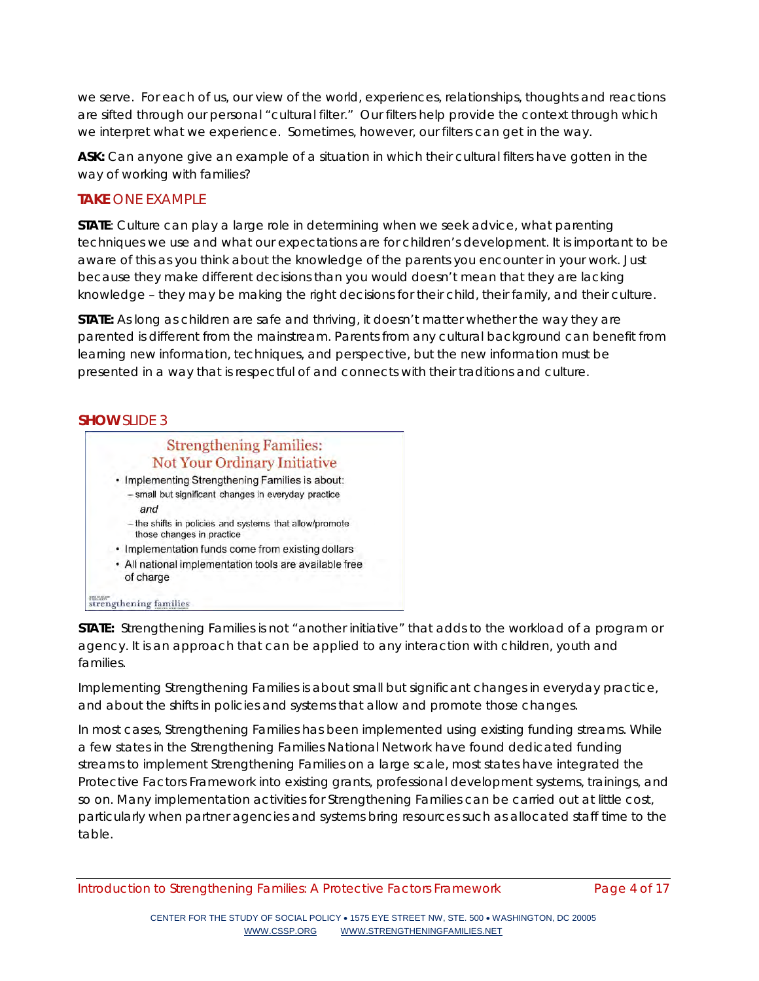we serve. For each of us, our view of the world, experiences, relationships, thoughts and reactions are sifted through our personal "cultural filter." Our filters help provide the context through which we interpret what we experience. Sometimes, however, our filters can get in the way.

**ASK:** Can anyone give an example of a situation in which their cultural filters have gotten in the way of working with families?

## **TAKE** ONE EXAMPLE

**STATE**: Culture can play a large role in determining when we seek advice, what parenting techniques we use and what our expectations are for children's development. It is important to be aware of this as you think about the knowledge of the parents you encounter in your work. Just because they make different decisions than you would doesn't mean that they are lacking knowledge – they may be making the right decisions for their child, their family, and their culture.

**STATE:** As long as children are safe and thriving, it doesn't matter whether the way they are parented is different from the mainstream. Parents from any cultural background can benefit from learning new information, techniques, and perspective, but the new information must be presented in a way that is respectful of and connects with their traditions and culture.

## **SHOW** SLIDE 3



**STATE:** Strengthening Families is not "another initiative" that adds to the workload of a program or agency. It is an approach that can be applied to any interaction with children, youth and families.

Implementing Strengthening Families is about small but significant changes in everyday practice, and about the shifts in policies and systems that allow and promote those changes.

In most cases, Strengthening Families has been implemented using existing funding streams. While a few states in the Strengthening Families National Network have found dedicated funding streams to implement Strengthening Families on a large scale, most states have integrated the Protective Factors Framework into existing grants, professional development systems, trainings, and so on. Many implementation activities for Strengthening Families can be carried out at little cost, particularly when partner agencies and systems bring resources such as allocated staff time to the table.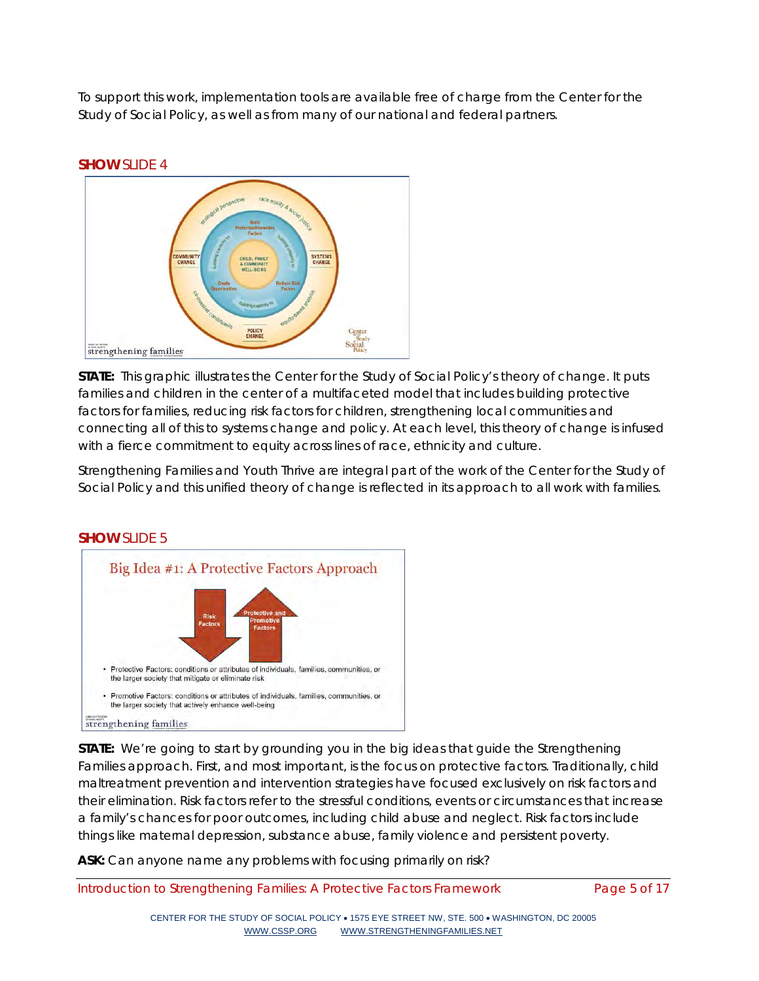To support this work, implementation tools are available free of charge from the Center for the Study of Social Policy, as well as from many of our national and federal partners.



**STATE:** This graphic illustrates the Center for the Study of Social Policy's theory of change. It puts families and children in the center of a multifaceted model that includes building protective factors for families, reducing risk factors for children, strengthening local communities and connecting all of this to systems change and policy. At each level, this theory of change is infused with a fierce commitment to equity across lines of race, ethnicity and culture.

Strengthening Families and Youth Thrive are integral part of the work of the Center for the Study of Social Policy and this unified theory of change is reflected in its approach to all work with families.



# **SHOW** SLIDE 5

**STATE:** We're going to start by grounding you in the big ideas that guide the Strengthening Families approach. First, and most important, is the focus on protective factors. Traditionally, child maltreatment prevention and intervention strategies have focused exclusively on risk factors and their elimination. Risk factors refer to the stressful conditions, events or circumstances that increase a family's chances for poor outcomes, including child abuse and neglect. Risk factors include things like maternal depression, substance abuse, family violence and persistent poverty.

**ASK:** Can anyone name any problems with focusing primarily on risk?

Introduction to Strengthening Families: A Protective Factors Framework Page 5 of 17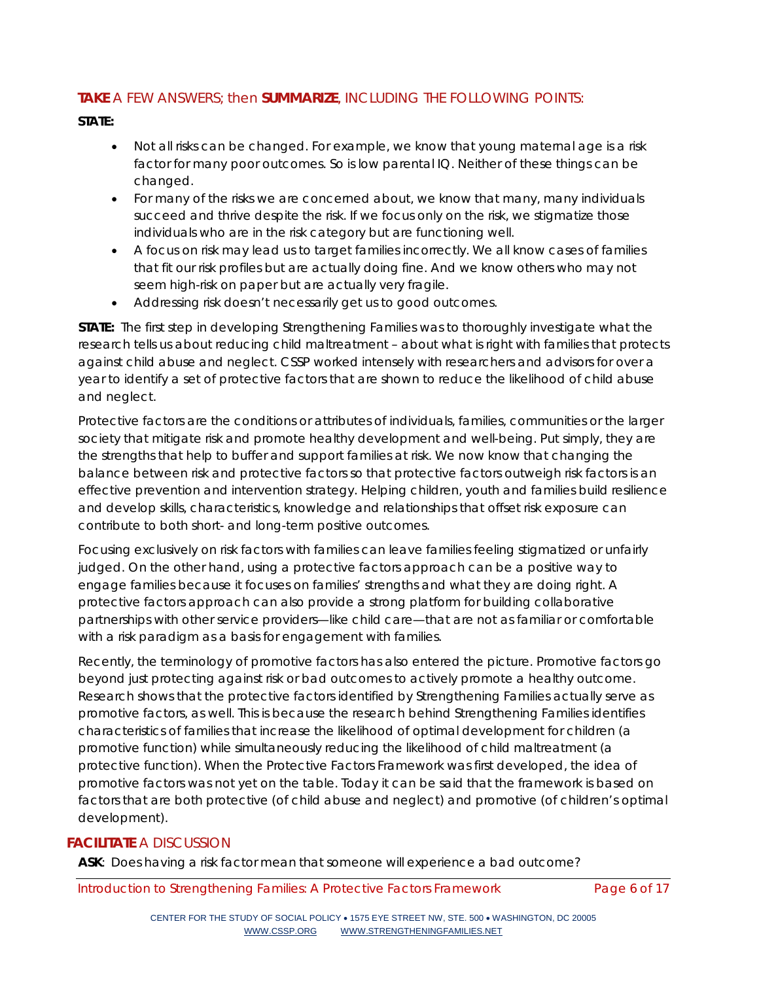# **TAKE** A FEW ANSWERS; then **SUMMARIZE**, INCLUDING THE FOLLOWING POINTS:

## **STATE:**

- Not all risks can be changed. For example, we know that young maternal age is a risk factor for many poor outcomes. So is low parental IQ. Neither of these things can be changed.
- For many of the risks we are concerned about, we know that many, many individuals succeed and thrive despite the risk. If we focus only on the risk, we stigmatize those individuals who are in the risk category but are functioning well.
- A focus on risk may lead us to target families incorrectly. We all know cases of families that fit our risk profiles but are actually doing fine. And we know others who may not seem high-risk on paper but are actually very fragile.
- Addressing risk doesn't necessarily get us to good outcomes.

**STATE:** The first step in developing Strengthening Families was to thoroughly investigate what the research tells us about reducing child maltreatment – about what is *right* with families that protects against child abuse and neglect. CSSP worked intensely with researchers and advisors for over a year to identify a set of protective factors that are shown to reduce the likelihood of child abuse and neglect.

Protective factors are the conditions or attributes of individuals, families, communities or the larger society that mitigate risk and promote healthy development and well-being. Put simply, they are the strengths that help to buffer and support families at risk. We now know that changing the balance between risk and protective factors so that protective factors outweigh risk factors is an effective prevention and intervention strategy. Helping children, youth and families build resilience and develop skills, characteristics, knowledge and relationships that offset risk exposure can contribute to both short- and long-term positive outcomes.

Focusing exclusively on risk factors with families can leave families feeling stigmatized or unfairly judged. On the other hand, using a protective factors approach can be a positive way to engage families because it focuses on families' strengths and what they are doing right. A protective factors approach can also provide a strong platform for building collaborative partnerships with other service providers—like child care—that are not as familiar or comfortable with a risk paradigm as a basis for engagement with families.

Recently, the terminology of promotive factors has also entered the picture. Promotive factors go beyond just protecting against risk or bad outcomes to actively promote a healthy outcome. Research shows that the protective factors identified by Strengthening Families actually serve as promotive factors, as well. This is because the research behind Strengthening Families identifies characteristics of families that increase the likelihood of optimal development for children (a promotive function) while simultaneously reducing the likelihood of child maltreatment (a protective function). When the Protective Factors Framework was first developed, the idea of promotive factors was not yet on the table. Today it can be said that the framework is based on factors that are both protective (of child abuse and neglect) and promotive (of children's optimal development).

## **FACILITATE** A DISCUSSION

**ASK**: Does having a risk factor mean that someone will experience a bad outcome?

Introduction to Strengthening Families: A Protective Factors Framework Page 6 of 17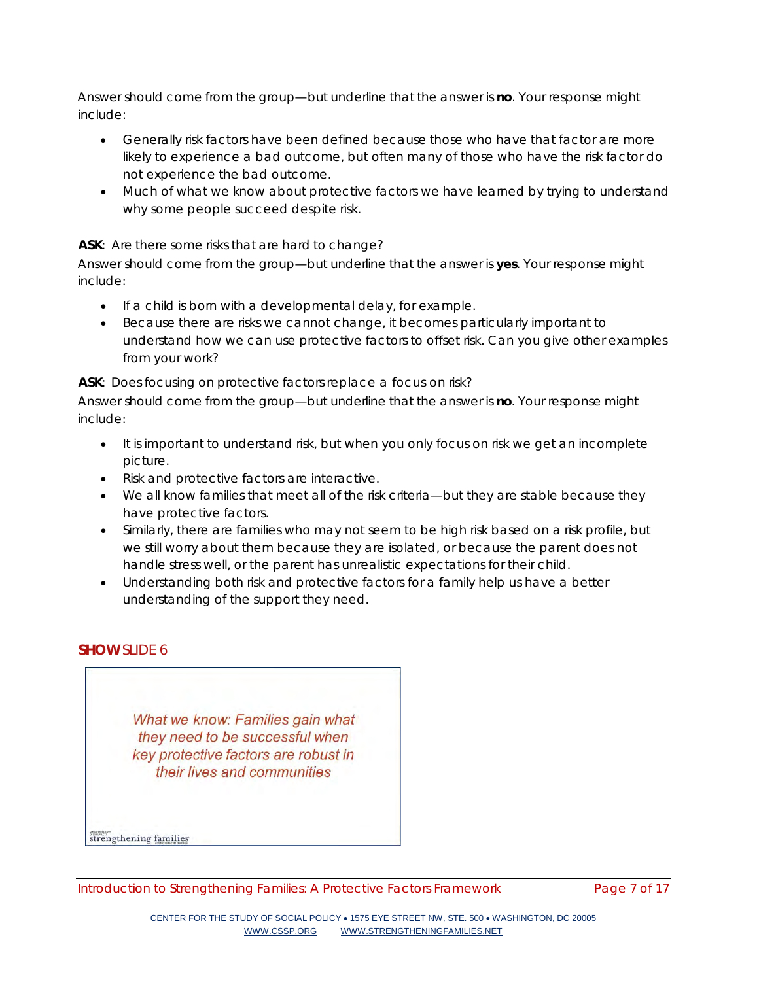*Answer should come from the group—but underline that the answer is no. Your response might include:*

- Generally risk factors have been defined because those who have that factor are more likely to experience a bad outcome, but often many of those who have the risk factor do not experience the bad outcome.
- Much of what we know about protective factors we have learned by trying to understand why some people succeed despite risk.

## **ASK**: Are there some risks that are hard to change?

*Answer should come from the group—but underline that the answer is yes. Your response might include:*

- If a child is born with a developmental delay, for example.
- Because there are risks we cannot change, it becomes particularly important to understand how we can use protective factors to offset risk. Can you give other examples from your work?

**ASK**: Does focusing on protective factors replace a focus on risk?

*Answer should come from the group—but underline that the answer is no. Your response might include:*

- It is important to understand risk, but when you only focus on risk we get an incomplete picture.
- Risk and protective factors are interactive.
- We all know families that meet all of the risk criteria—but they are stable because they have protective factors.
- Similarly, there are families who may not seem to be high risk based on a risk profile, but we still worry about them because they are isolated, or because the parent does not handle stress well, or the parent has unrealistic expectations for their child.
- Understanding both risk and protective factors for a family help us have a better understanding of the support they need.

# **SHOW** SLIDE 6

What we know: Families gain what they need to be successful when key protective factors are robust in their lives and communities

strengthening families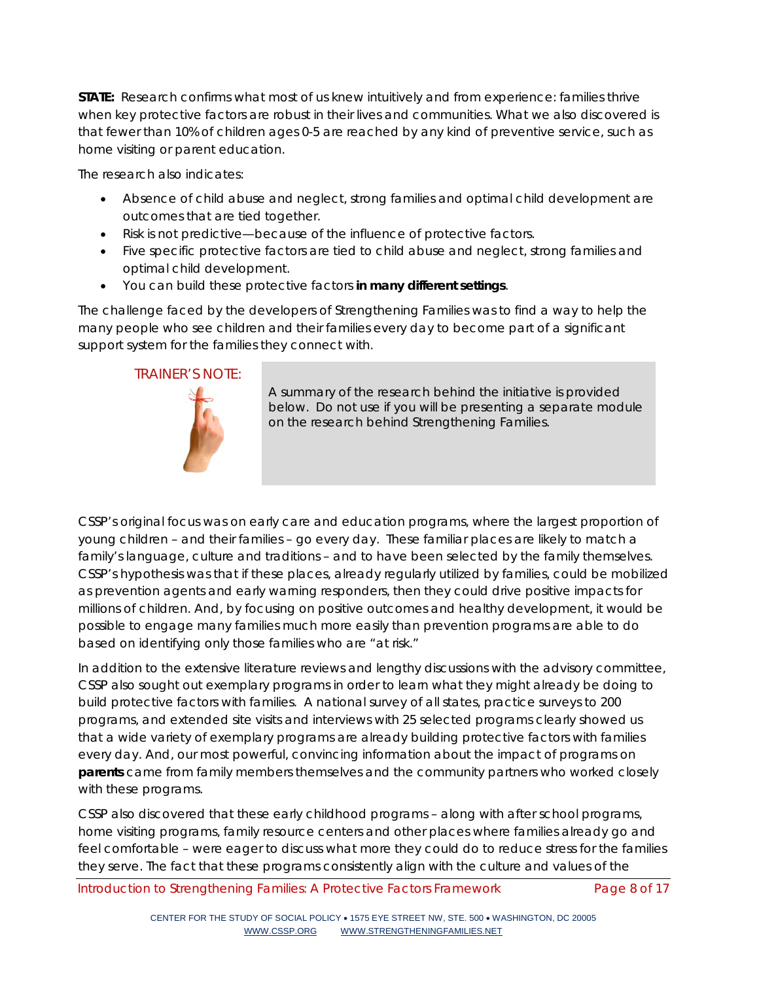**STATE:** Research confirms what most of us knew intuitively and from experience: families thrive when key protective factors are robust in their lives and communities. What we also discovered is that fewer than 10% of children ages 0-5 are reached by any kind of preventive service, such as home visiting or parent education.

The research also indicates:

- Absence of child abuse and neglect, strong families and optimal child development are outcomes that are tied together.
- Risk is not predictive—because of the influence of protective factors.
- Five specific protective factors are tied to child abuse and neglect, strong families and optimal child development.
- You can build these protective factors **in many different settings**.

The challenge faced by the developers of Strengthening Families was to find a way to help the many people who see children and their families every day to become part of a significant support system for the families they connect with.

## TRAINER'S NOTE:



A summary of the research behind the initiative is provided below. Do not use if you will be presenting a separate module on the research behind Strengthening Families.

CSSP's original focus was on early care and education programs, where the largest proportion of young children – and their families – go every day. These familiar places are likely to match a family's language, culture and traditions – and to have been selected by the family themselves. CSSP's hypothesis was that if these places, already regularly utilized by families, could be mobilized as prevention agents and early warning responders, then they could drive positive impacts for millions of children. And, by focusing on positive outcomes and healthy development, it would be possible to engage many families much more easily than prevention programs are able to do based on identifying only those families who are "at risk."

In addition to the extensive literature reviews and lengthy discussions with the advisory committee, CSSP also sought out exemplary programs in order to learn what they might already be doing to build protective factors with families. A national survey of all states, practice surveys to 200 programs, and extended site visits and interviews with 25 selected programs clearly showed us that a wide variety of exemplary programs are already building protective factors with families every day. And, our most powerful, convincing information about the impact of programs on **parents** came from family members themselves and the community partners who worked closely with these programs.

CSSP also discovered that these early childhood programs – along with after school programs, home visiting programs, family resource centers and other places where families already go and feel comfortable – were eager to discuss what more they could do to reduce stress for the families they serve. The fact that these programs consistently align with the culture and values of the

Introduction to Strengthening Families: A Protective Factors Framework Page 8 of 17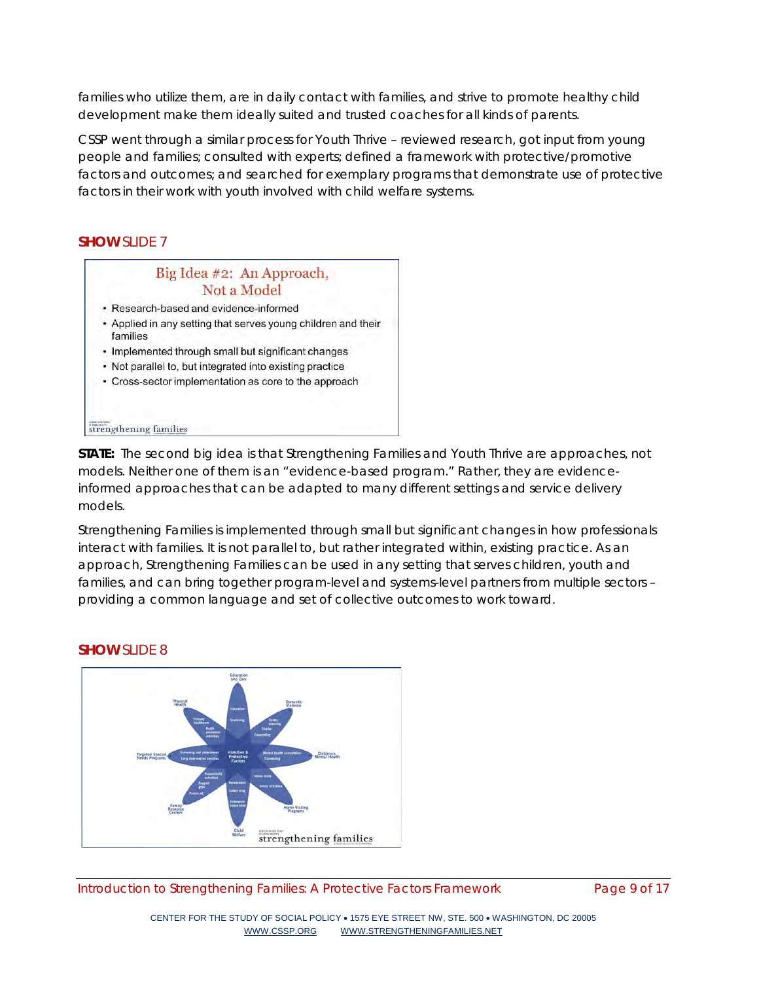families who utilize them, are in daily contact with families, and strive to promote healthy child development make them ideally suited and trusted coaches for all kinds of parents.

CSSP went through a similar process for Youth Thrive – reviewed research, got input from young people and families; consulted with experts; defined a framework with protective/promotive factors and outcomes; and searched for exemplary programs that demonstrate use of protective factors in their work with youth involved with child welfare systems.

#### **SHOW** SLIDE 7



**STATE:** The second big idea is that Strengthening Families and Youth Thrive are approaches, not models. Neither one of them is an "evidence-based program." Rather, they are evidenceinformed approaches that can be adapted to many different settings and service delivery models.

Strengthening Families is implemented through small but significant changes in how professionals interact with families. It is not parallel to, but rather integrated within, existing practice. As an approach, Strengthening Families can be used in any setting that serves children, youth and families, and can bring together program-level and systems-level partners from multiple sectors – providing a common language and set of collective outcomes to work toward.

## **SHOW** SLIDE 8

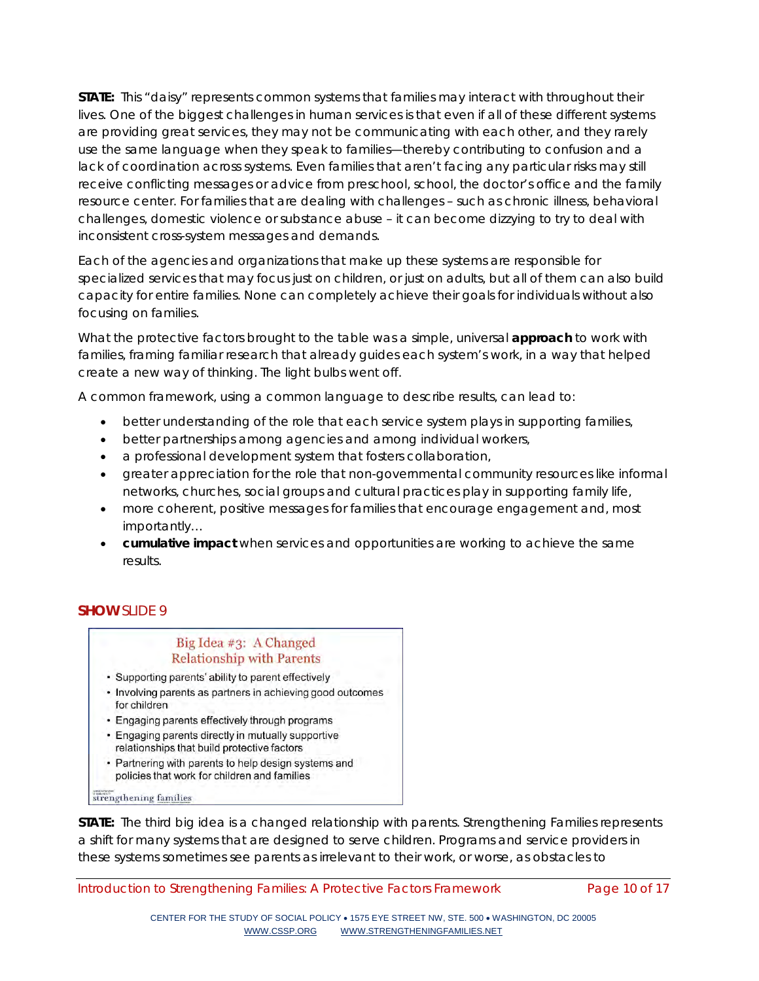**STATE:** This "daisy" represents common systems that families may interact with throughout their lives. One of the biggest challenges in human services is that even if all of these different systems are providing great services, they may not be communicating with each other, and they rarely use the same language when they speak to families—thereby contributing to confusion and a lack of coordination across systems. Even families that aren't facing any particular risks may still receive conflicting messages or advice from preschool, school, the doctor's office and the family resource center. For families that are dealing with challenges – such as chronic illness, behavioral challenges, domestic violence or substance abuse – it can become dizzying to try to deal with inconsistent cross-system messages and demands.

Each of the agencies and organizations that make up these systems are responsible for specialized services that may focus just on children, or just on adults, but all of them can also build capacity for entire families. None can completely achieve their goals for individuals without also focusing on families.

What the protective factors brought to the table was a simple, universal **approach** to work with families, framing familiar research that already guides each system's work, in a way that helped create a new way of thinking. The light bulbs went off.

A common framework, using a common language to describe results, can lead to:

- better understanding of the role that each service system plays in supporting families,
- better partnerships among agencies and among individual workers,
- a professional development system that fosters collaboration,
- greater appreciation for the role that non-governmental community resources like informal networks, churches, social groups and cultural practices play in supporting family life,
- more coherent, positive messages for families that encourage engagement and, most importantly…
- **cumulative impact** when services and opportunities are working to achieve the same results.

# **SHOW** SLIDE 9

# Big Idea #3: A Changed **Relationship with Parents**

- Supporting parents' ability to parent effectively
- Involving parents as partners in achieving good outcomes for children
- Engaging parents effectively through programs
- Engaging parents directly in mutually supportive relationships that build protective factors
- Partnering with parents to help design systems and policies that work for children and families

strengthening families

**STATE:** The third big idea is a changed relationship with parents. Strengthening Families represents a shift for many systems that are designed to serve children. Programs and service providers in these systems sometimes see parents as irrelevant to their work, or worse, as obstacles to

Introduction to Strengthening Families: A Protective Factors Framework Page 10 of 17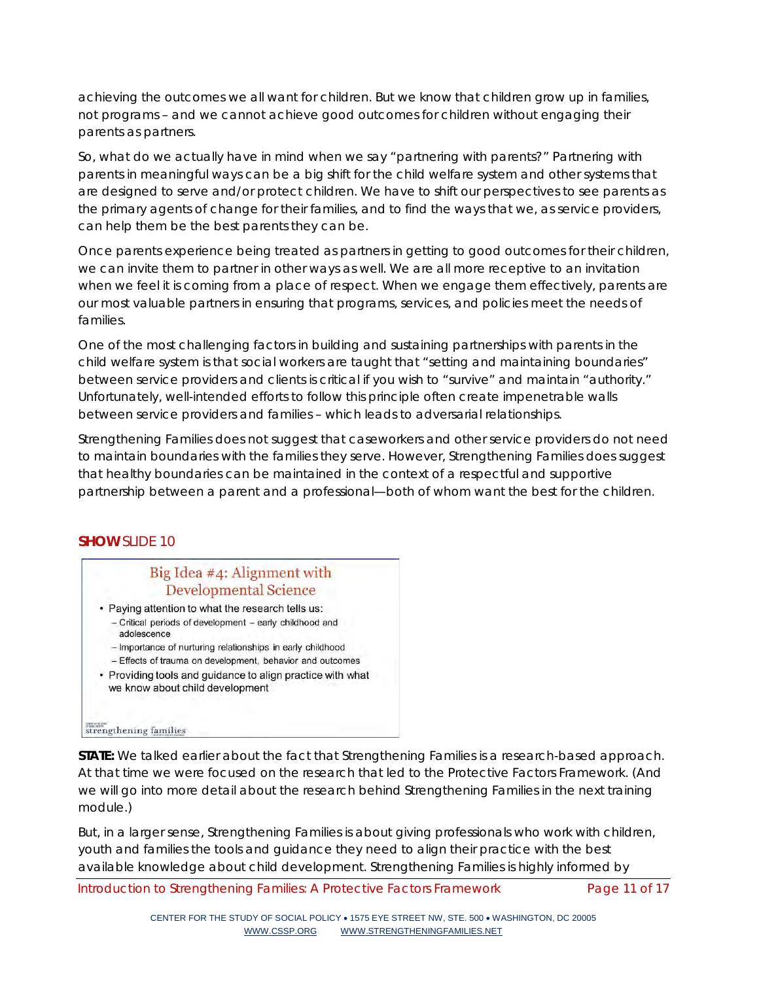achieving the outcomes we all want for children. But we know that children grow up in families, not programs – and we cannot achieve good outcomes for children without engaging their parents as partners.

So, what do we actually have in mind when we say "partnering with parents?" Partnering with parents in meaningful ways can be a big shift for the child welfare system and other systems that are designed to serve and/or protect children. We have to shift our perspectives to see parents as the primary agents of change for their families, and to find the ways that we, as service providers, can help them be the best parents they can be.

Once parents experience being treated as partners in getting to good outcomes for their children, we can invite them to partner in other ways as well. We are all more receptive to an invitation when we feel it is coming from a place of respect. When we engage them effectively, parents are our most valuable partners in ensuring that programs, services, and policies meet the needs of families.

One of the most challenging factors in building and sustaining partnerships with parents in the child welfare system is that social workers are taught that "setting and maintaining boundaries" between service providers and clients is critical if you wish to "survive" and maintain "authority." Unfortunately, well-intended efforts to follow this principle often create impenetrable walls between service providers and families – which leads to adversarial relationships.

Strengthening Families does not suggest that caseworkers and other service providers do not need to maintain boundaries with the families they serve. However, Strengthening Families does suggest that healthy boundaries can be maintained in the context of a respectful and supportive partnership between a parent and a professional—both of whom want the best for the children.

## **SHOW** SLIDE 10

# Big Idea #4: Alignment with **Developmental Science**

- · Paying attention to what the research tells us: - Critical periods of development - early childhood and adolescence
	- Importance of nurturing relationships in early childhood
	- Effects of trauma on development, behavior and outcomes
- Providing tools and guidance to align practice with what we know about child development

#### strengthening families

**STATE:** We talked earlier about the fact that Strengthening Families is a research-based approach. At that time we were focused on the research that led to the Protective Factors Framework. (And we will go into more detail about the research behind Strengthening Families in the next training module.)

But, in a larger sense, Strengthening Families is about giving professionals who work with children, youth and families the tools and guidance they need to align their practice with the best available knowledge about child development. Strengthening Families is highly informed by

Introduction to Strengthening Families: A Protective Factors Framework Page 11 of 17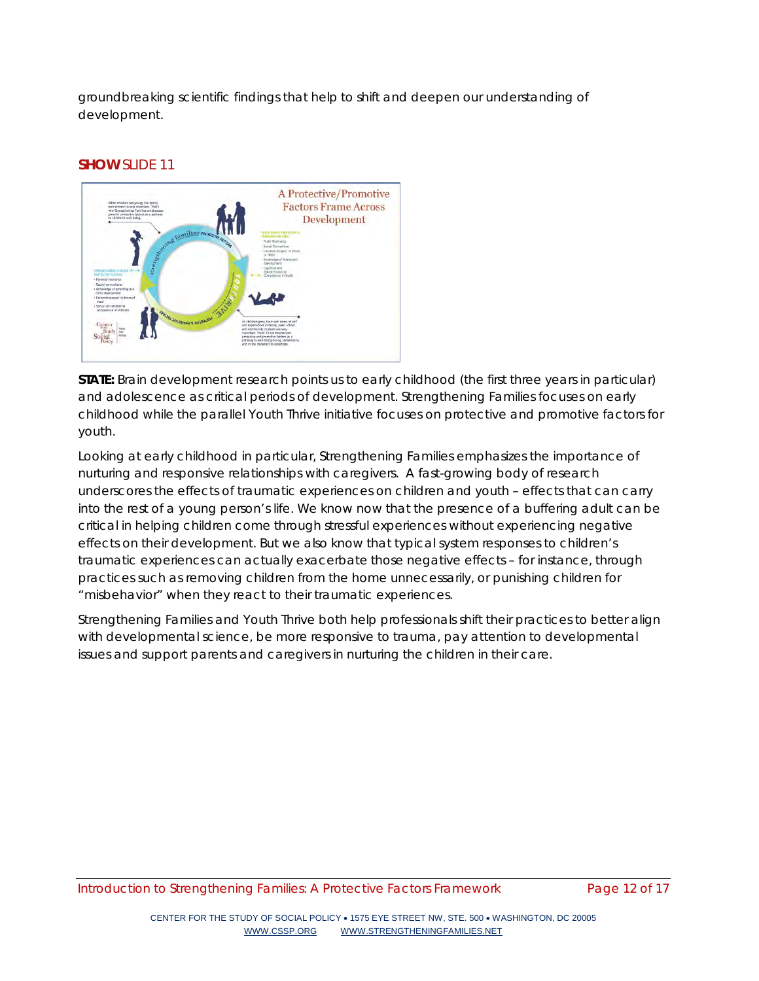groundbreaking scientific findings that help to shift and deepen our understanding of development.

#### **SHOW** SLIDE 11



**STATE:** Brain development research points us to early childhood (the first three years in particular) and adolescence as critical periods of development. Strengthening Families focuses on early childhood while the parallel Youth Thrive initiative focuses on protective and promotive factors for youth.

Looking at early childhood in particular, Strengthening Families emphasizes the importance of nurturing and responsive relationships with caregivers. A fast-growing body of research underscores the effects of traumatic experiences on children and youth – effects that can carry into the rest of a young person's life. We know now that the presence of a buffering adult can be critical in helping children come through stressful experiences without experiencing negative effects on their development. But we also know that typical system responses to children's traumatic experiences can actually exacerbate those negative effects – for instance, through practices such as removing children from the home unnecessarily, or punishing children for "misbehavior" when they react to their traumatic experiences.

Strengthening Families and Youth Thrive both help professionals shift their practices to better align with developmental science, be more responsive to trauma, pay attention to developmental issues and support parents and caregivers in nurturing the children in their care.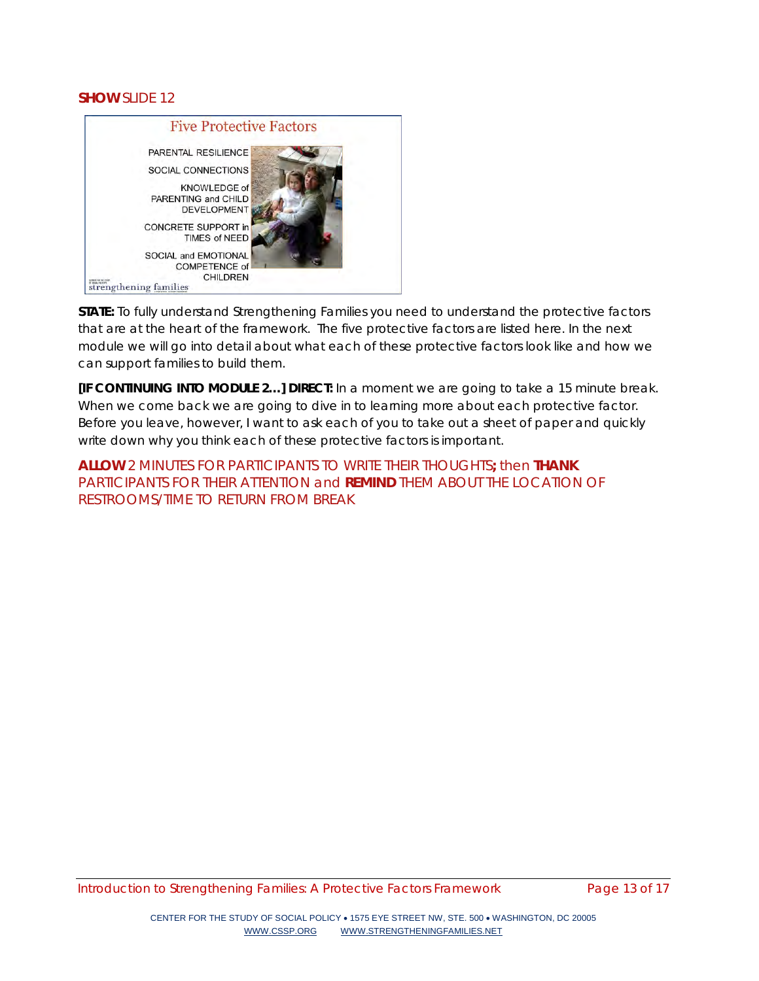## **SHOW** SLIDE 12



**STATE:** To fully understand Strengthening Families you need to understand the protective factors that are at the heart of the framework. The five protective factors are listed here. In the next module we will go into detail about what each of these protective factors look like and how we can support families to build them.

*[IF CONTINUING INTO MODULE 2…]* **DIRECT:** In a moment we are going to take a 15 minute break. When we come back we are going to dive in to learning more about each protective factor. Before you leave, however, I want to ask each of you to take out a sheet of paper and quickly write down why you think each of these protective factors is important.

**ALLOW** 2 MINUTES FOR PARTICIPANTS TO WRITE THEIR THOUGHTS**;** then **THANK**  PARTICIPANTS FOR THEIR ATTENTION and **REMIND** THEM ABOUT THE LOCATION OF RESTROOMS/TIME TO RETURN FROM BREAK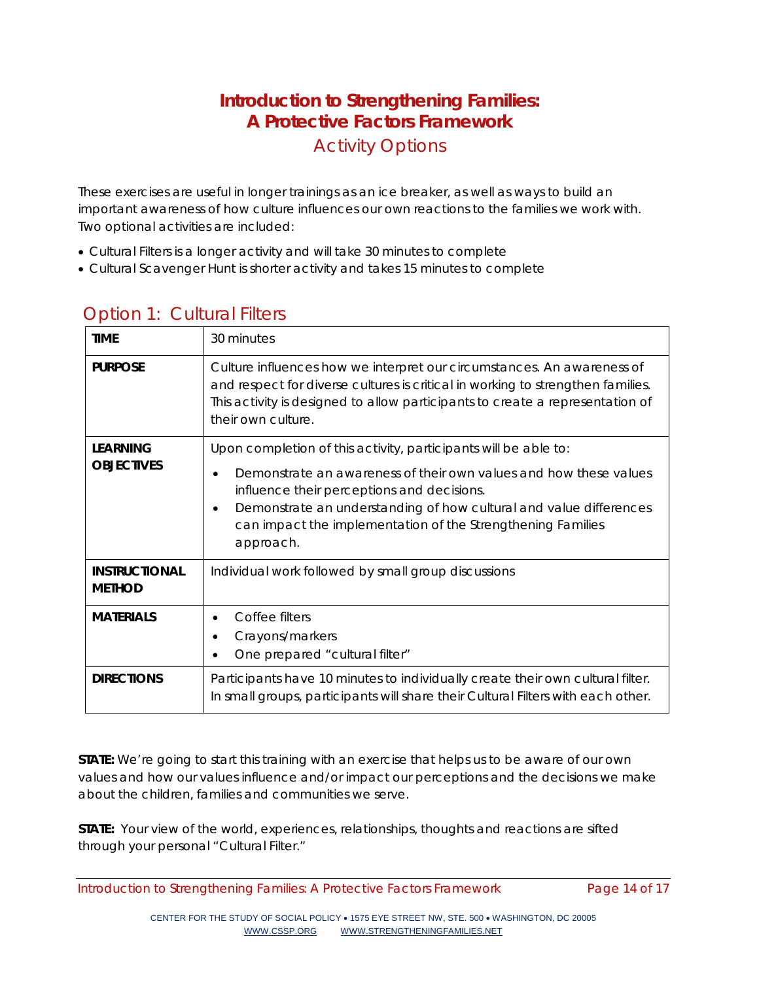# **Introduction to Strengthening Families: A Protective Factors Framework** Activity Options

These exercises are useful in longer trainings as an ice breaker, as well as ways to build an important awareness of how culture influences our own reactions to the families we work with. Two optional activities are included:

- Cultural Filters is a longer activity and will take 30 minutes to complete
- Cultural Scavenger Hunt is shorter activity and takes 15 minutes to complete

| <b>TIME</b>                           | 30 minutes                                                                                                                                                                                                                                                                                                                           |
|---------------------------------------|--------------------------------------------------------------------------------------------------------------------------------------------------------------------------------------------------------------------------------------------------------------------------------------------------------------------------------------|
| <b>PURPOSE</b>                        | Culture influences how we interpret our circumstances. An awareness of<br>and respect for diverse cultures is critical in working to strengthen families.<br>This activity is designed to allow participants to create a representation of<br>their own culture.                                                                     |
| <b>LEARNING</b><br><b>OBJECTIVES</b>  | Upon completion of this activity, participants will be able to:<br>Demonstrate an awareness of their own values and how these values<br>influence their perceptions and decisions.<br>Demonstrate an understanding of how cultural and value differences<br>can impact the implementation of the Strengthening Families<br>approach. |
| <b>INSTRUCTIONAL</b><br><b>METHOD</b> | Individual work followed by small group discussions                                                                                                                                                                                                                                                                                  |
| <b>MATERIALS</b>                      | Coffee filters<br>$\bullet$<br>Crayons/markers<br>One prepared "cultural filter"                                                                                                                                                                                                                                                     |
| <b>DIRECTIONS</b>                     | Participants have 10 minutes to individually create their own cultural filter.<br>In small groups, participants will share their Cultural Filters with each other.                                                                                                                                                                   |

# Option 1: Cultural Filters

**STATE:** We're going to start this training with an exercise that helps us to be aware of our own values and how our values influence and/or impact our perceptions and the decisions we make about the children, families and communities we serve.

**STATE:** Your view of the world, experiences, relationships, thoughts and reactions are sifted through your personal "Cultural Filter."

Introduction to Strengthening Families: A Protective Factors Framework Page 14 of 17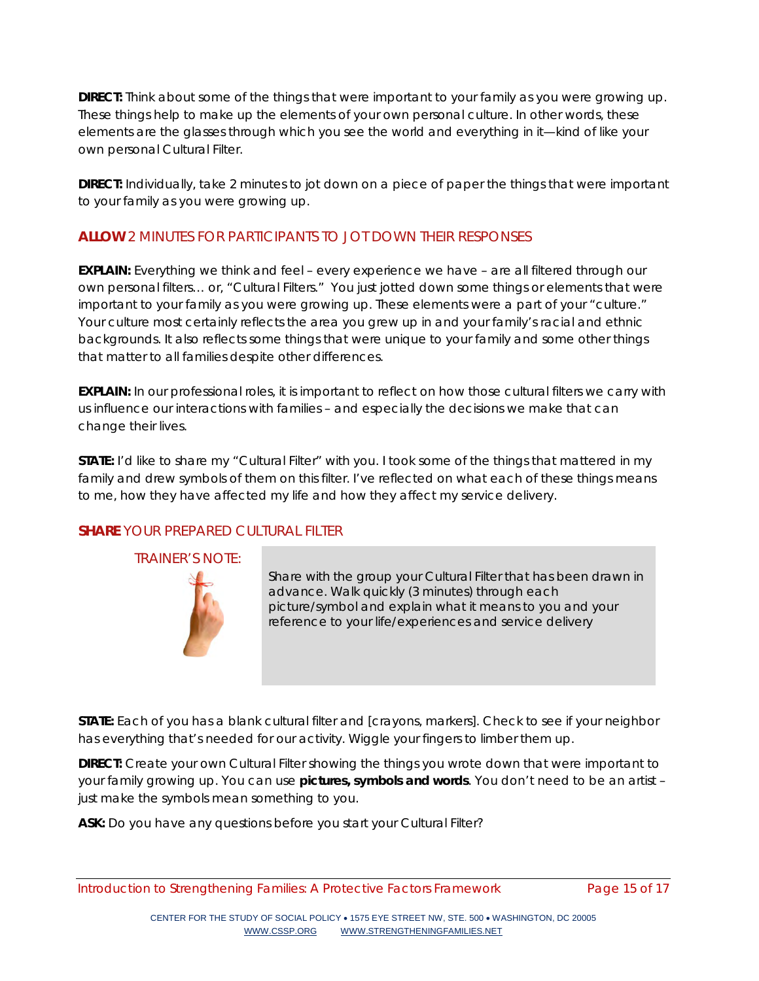**DIRECT:** Think about some of the things that were important to your family as you were growing up. These things help to make up the elements of your own personal culture. In other words, these elements are the glasses through which you see the world and everything in it—kind of like your own personal Cultural Filter.

**DIRECT:** Individually, take 2 minutes to jot down on a piece of paper the things that were important to your family as you were growing up.

# **ALLOW** 2 MINUTES FOR PARTICIPANTS TO JOT DOWN THEIR RESPONSES

**EXPLAIN:** Everything we think and feel – every experience we have – are all filtered through our own personal filters… or, "Cultural Filters." You just jotted down some things or elements that were important to your family as you were growing up. These elements were a part of your "culture." Your culture most certainly reflects the area you grew up in and your family's racial and ethnic backgrounds. It also reflects some things that were unique to your family and some other things that matter to all families despite other differences.

**EXPLAIN:** In our professional roles, it is important to reflect on how those cultural filters we carry with us influence our interactions with families – and especially the decisions we make that can change their lives.

**STATE:** I'd like to share my "Cultural Filter" with you. I took some of the things that mattered in my family and drew symbols of them on this filter. I've reflected on what each of these things means to me, how they have affected my life and how they affect my service delivery.

# **SHARE** YOUR PREPARED CULTURAL FILTER

TRAINER'S NOTE:



Share with the group your Cultural Filter that has been drawn in advance. Walk quickly (3 minutes) through each picture/symbol and explain what it means to you and your reference to your life/experiences and service delivery

**STATE:** Each of you has a blank cultural filter and [crayons, markers]. Check to see if your neighbor has everything that's needed for our activity. Wiggle your fingers to limber them up.

**DIRECT:** Create your own Cultural Filter showing the things you wrote down that were important to your family growing up. You can use **pictures, symbols and words**. You don't need to be an artist – just make the symbols mean something to you.

**ASK:** Do you have any questions before you start your Cultural Filter?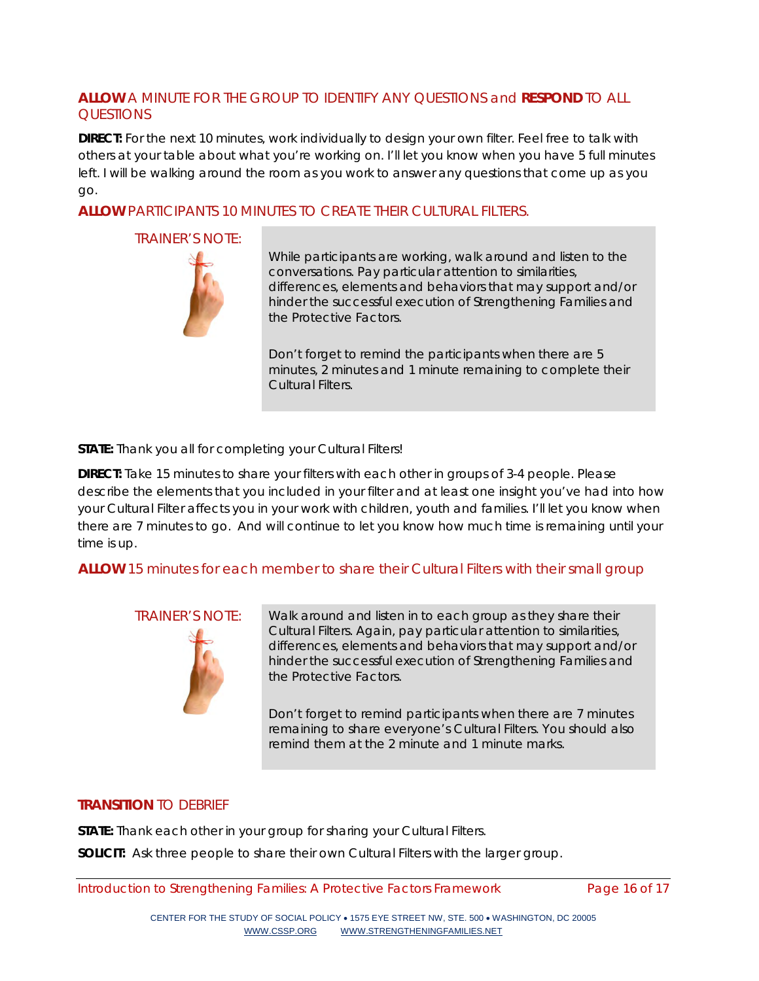## **ALLOW** A MINUTE FOR THE GROUP TO IDENTIFY ANY QUESTIONS and **RESPOND** TO ALL **OUESTIONS**

**DIRECT:** For the next 10 minutes, work individually to design your own filter. Feel free to talk with others at your table about what you're working on. I'll let you know when you have 5 full minutes left. I will be walking around the room as you work to answer any questions that come up as you go.

## **ALLOW** PARTICIPANTS 10 MINUTES TO CREATE THEIR CULTURAL FILTERS.

#### TRAINER'S NOTE:



While participants are working, walk around and listen to the conversations. Pay particular attention to similarities, differences, elements and behaviors that may support and/or hinder the successful execution of Strengthening Families and the Protective Factors.

Don't forget to remind the participants when there are 5 minutes, 2 minutes and 1 minute remaining to complete their Cultural Filters.

**STATE:** Thank you all for completing your Cultural Filters!

**DIRECT:** Take 15 minutes to share your filters with each other in groups of 3-4 people. Please describe the elements that you included in your filter and at least one insight you've had into how your Cultural Filter affects you in your work with children, youth and families. I'll let you know when there are 7 minutes to go. And will continue to let you know how much time is remaining until your time is up.

## **ALLOW** 15 minutes for each member to share their Cultural Filters with their small group



TRAINER'S NOTE: Walk around and listen in to each group as they share their Cultural Filters. Again, pay particular attention to similarities, differences, elements and behaviors that may support and/or hinder the successful execution of Strengthening Families and the Protective Factors.

> Don't forget to remind participants when there are 7 minutes remaining to share everyone's Cultural Filters. You should also remind them at the 2 minute and 1 minute marks.

# **TRANSITION** TO DEBRIEF

**STATE:** Thank each other in your group for sharing your Cultural Filters.

**SOLICIT:** Ask three people to share their own Cultural Filters with the larger group.

Introduction to Strengthening Families: A Protective Factors Framework Page 16 of 17

CENTER FOR THE STUDY OF SOCIAL POLICY • 1575 EYE STREET NW, STE. 500 • WASHINGTON, DC 20005 [WWW.CSSP.ORG](http://www.cssp.org/) [WWW.STRENGTHENINGFAMILIES.NET](http://www.strengtheningfamilies.net/)